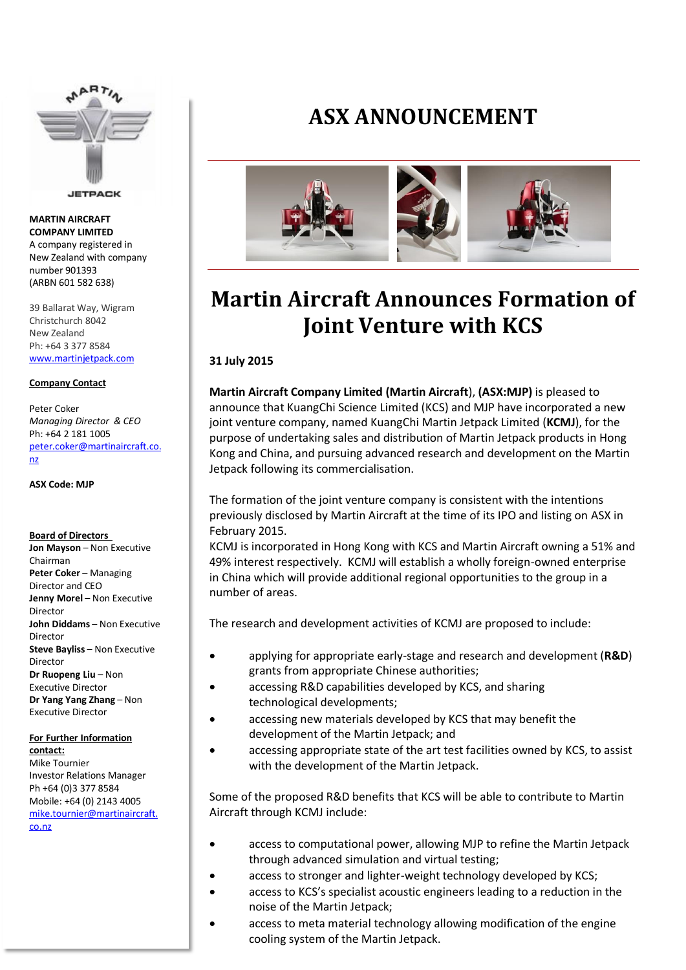

**JETPACK** 

**MARTIN AIRCRAFT COMPANY LIMITED** A company registered in New Zealand with company number 901393 (ARBN 601 582 638)

39 Ballarat Way, Wigram Christchurch 8042 New Zealand Ph: +64 3 377 8584 [www.martinjetpack.com](http://www.martinjetpack.com/)

### **Company Contact**

Peter Coker *Managing Director & CEO* Ph: +64 2 181 1005 [peter.coker@martinaircraft.co.](mailto:peter.coker@martinaircraft.co.nz) [nz](mailto:peter.coker@martinaircraft.co.nz)

**ASX Code: MJP**

### **Board of Directors**

**Jon Mayson** – Non Executive Chairman **Peter Coker** – Managing Director and CEO **Jenny Morel** – Non Executive Director **John Diddams** – Non Executive Director **Steve Bayliss** – Non Executive Director **Dr Ruopeng Liu** – Non Executive Director **Dr Yang Yang Zhang** – Non Executive Director

## **For Further Information contact:**

Mike Tournier Investor Relations Manager Ph +64 (0)3 377 8584 Mobile: +64 (0) 2143 4005 [mike.tournier@martinaircraft.](mailto:mike.tournier@martinaircraft.co.nz) [co.nz](mailto:mike.tournier@martinaircraft.co.nz)

# **ASX ANNOUNCEMENT**



# **Martin Aircraft Announces Formation of Joint Venture with KCS**

## **31 July 2015**

**Martin Aircraft Company Limited (Martin Aircraft**), **(ASX:MJP)** is pleased to announce that KuangChi Science Limited (KCS) and MJP have incorporated a new joint venture company, named KuangChi Martin Jetpack Limited (**KCMJ**), for the purpose of undertaking sales and distribution of Martin Jetpack products in Hong Kong and China, and pursuing advanced research and development on the Martin Jetpack following its commercialisation.

The formation of the joint venture company is consistent with the intentions previously disclosed by Martin Aircraft at the time of its IPO and listing on ASX in February 2015.

KCMJ is incorporated in Hong Kong with KCS and Martin Aircraft owning a 51% and 49% interest respectively. KCMJ will establish a wholly foreign-owned enterprise in China which will provide additional regional opportunities to the group in a number of areas.

The research and development activities of KCMJ are proposed to include:

- applying for appropriate early-stage and research and development (**R&D**) grants from appropriate Chinese authorities;
- accessing R&D capabilities developed by KCS, and sharing technological developments;
- accessing new materials developed by KCS that may benefit the development of the Martin Jetpack; and
- accessing appropriate state of the art test facilities owned by KCS, to assist with the development of the Martin Jetpack.

Some of the proposed R&D benefits that KCS will be able to contribute to Martin Aircraft through KCMJ include:

- access to computational power, allowing MJP to refine the Martin Jetpack through advanced simulation and virtual testing;
- access to stronger and lighter-weight technology developed by KCS;
- access to KCS's specialist acoustic engineers leading to a reduction in the noise of the Martin Jetpack;
- access to meta material technology allowing modification of the engine cooling system of the Martin Jetpack.